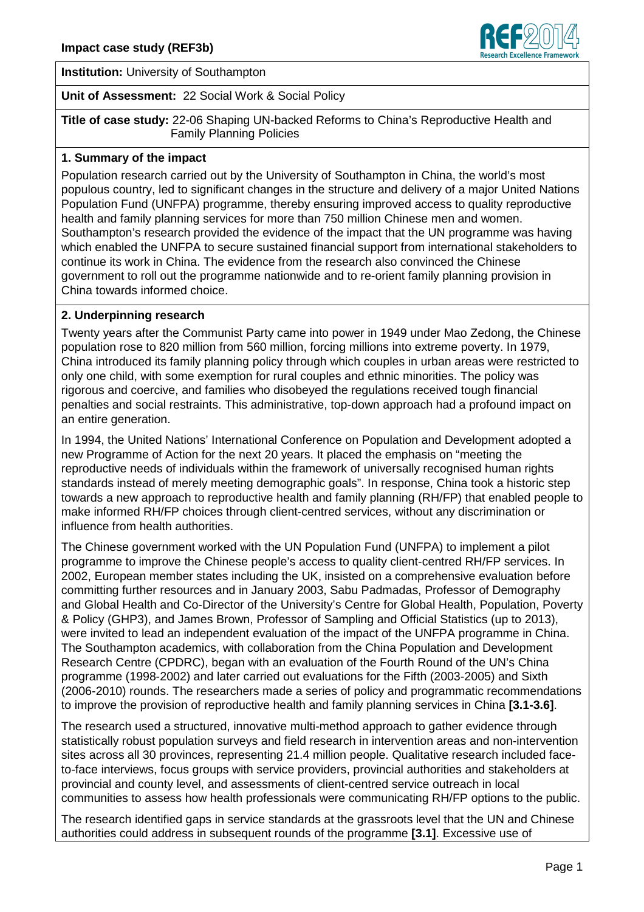

**Institution:** University of Southampton

### **Unit of Assessment:** 22 Social Work & Social Policy

**Title of case study:** 22-06 Shaping UN-backed Reforms to China's Reproductive Health and Family Planning Policies

### **1. Summary of the impact**

Population research carried out by the University of Southampton in China, the world's most populous country, led to significant changes in the structure and delivery of a major United Nations Population Fund (UNFPA) programme, thereby ensuring improved access to quality reproductive health and family planning services for more than 750 million Chinese men and women. Southampton's research provided the evidence of the impact that the UN programme was having which enabled the UNFPA to secure sustained financial support from international stakeholders to continue its work in China. The evidence from the research also convinced the Chinese government to roll out the programme nationwide and to re-orient family planning provision in China towards informed choice.

### **2. Underpinning research**

Twenty years after the Communist Party came into power in 1949 under Mao Zedong, the Chinese population rose to 820 million from 560 million, forcing millions into extreme poverty. In 1979, China introduced its family planning policy through which couples in urban areas were restricted to only one child, with some exemption for rural couples and ethnic minorities. The policy was rigorous and coercive, and families who disobeyed the regulations received tough financial penalties and social restraints. This administrative, top-down approach had a profound impact on an entire generation.

In 1994, the United Nations' International Conference on Population and Development adopted a new Programme of Action for the next 20 years. It placed the emphasis on "meeting the reproductive needs of individuals within the framework of universally recognised human rights standards instead of merely meeting demographic goals". In response, China took a historic step towards a new approach to reproductive health and family planning (RH/FP) that enabled people to make informed RH/FP choices through client-centred services, without any discrimination or influence from health authorities.

The Chinese government worked with the UN Population Fund (UNFPA) to implement a pilot programme to improve the Chinese people's access to quality client-centred RH/FP services. In 2002, European member states including the UK, insisted on a comprehensive evaluation before committing further resources and in January 2003, Sabu Padmadas, Professor of Demography and Global Health and Co-Director of the University's Centre for Global Health, Population, Poverty & Policy (GHP3), and James Brown, Professor of Sampling and Official Statistics (up to 2013), were invited to lead an independent evaluation of the impact of the UNFPA programme in China. The Southampton academics, with collaboration from the China Population and Development Research Centre (CPDRC), began with an evaluation of the Fourth Round of the UN's China programme (1998-2002) and later carried out evaluations for the Fifth (2003-2005) and Sixth (2006-2010) rounds. The researchers made a series of policy and programmatic recommendations to improve the provision of reproductive health and family planning services in China **[3.1-3.6]**.

The research used a structured, innovative multi-method approach to gather evidence through statistically robust population surveys and field research in intervention areas and non-intervention sites across all 30 provinces, representing 21.4 million people. Qualitative research included faceto-face interviews, focus groups with service providers, provincial authorities and stakeholders at provincial and county level, and assessments of client-centred service outreach in local communities to assess how health professionals were communicating RH/FP options to the public.

The research identified gaps in service standards at the grassroots level that the UN and Chinese authorities could address in subsequent rounds of the programme **[3.1]**. Excessive use of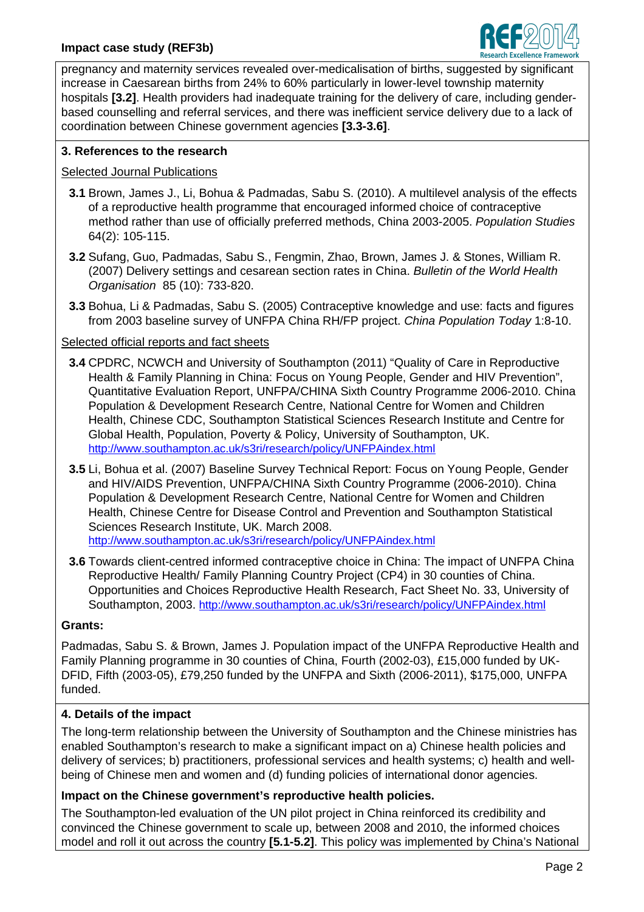

pregnancy and maternity services revealed over-medicalisation of births, suggested by significant increase in Caesarean births from 24% to 60% particularly in lower-level township maternity hospitals **[3.2]**. Health providers had inadequate training for the delivery of care, including genderbased counselling and referral services, and there was inefficient service delivery due to a lack of coordination between Chinese government agencies **[3.3-3.6]**.

# **3. References to the research**

## Selected Journal Publications

- **3.1** Brown, James J., Li, Bohua & Padmadas, Sabu S. (2010). A multilevel analysis of the effects of a reproductive health programme that encouraged informed choice of contraceptive method rather than use of officially preferred methods, China 2003-2005. Population Studies 64(2): 105-115.
- **3.2** Sufang, Guo, Padmadas, Sabu S., Fengmin, Zhao, Brown, James J. & Stones, William R. (2007) Delivery settings and cesarean section rates in China. Bulletin of the World Health Organisation 85 (10): 733-820.
- **3.3** Bohua, Li & Padmadas, Sabu S. (2005) Contraceptive knowledge and use: facts and figures from 2003 baseline survey of UNFPA China RH/FP project. China Population Today 1:8-10.

## Selected official reports and fact sheets

- **3.4** CPDRC, NCWCH and University of Southampton (2011) "Quality of Care in Reproductive Health & Family Planning in China: Focus on Young People, Gender and HIV Prevention", Quantitative Evaluation Report, UNFPA/CHINA Sixth Country Programme 2006-2010. China Population & Development Research Centre, National Centre for Women and Children Health, Chinese CDC, Southampton Statistical Sciences Research Institute and Centre for Global Health, Population, Poverty & Policy, University of Southampton, UK. [http://www.southampton.ac.uk/s3ri/research/policy/UNFPAindex.htm](http://www.southampton.ac.uk/s3ri/research/policy/UNFPAindex.html)l
- **3.5** Li, Bohua et al. (2007) Baseline Survey Technical Report: Focus on Young People, Gender and HIV/AIDS Prevention, UNFPA/CHINA Sixth Country Programme (2006-2010). China Population & Development Research Centre, National Centre for Women and Children Health, Chinese Centre for Disease Control and Prevention and Southampton Statistical Sciences Research Institute, UK. March 2008. [http://www.southampton.ac.uk/s3ri/research/policy/UNFPAindex.htm](http://www.southampton.ac.uk/s3ri/research/policy/UNFPAindex.html)l
- **3.6** Towards client-centred informed contraceptive choice in China: The impact of UNFPA China Reproductive Health/ Family Planning Country Project (CP4) in 30 counties of China. Opportunities and Choices Reproductive Health Research, Fact Sheet No. 33, University of Southampton, 2003. [http://www.southampton.ac.uk/s3ri/research/policy/UNFPAindex.htm](http://www.southampton.ac.uk/s3ri/research/policy/UNFPAindex.html)l

## **Grants:**

Padmadas, Sabu S. & Brown, James J. Population impact of the UNFPA Reproductive Health and Family Planning programme in 30 counties of China, Fourth (2002-03), £15,000 funded by UK-DFID, Fifth (2003-05), £79,250 funded by the UNFPA and Sixth (2006-2011), \$175,000, UNFPA funded.

## **4. Details of the impact**

The long-term relationship between the University of Southampton and the Chinese ministries has enabled Southampton's research to make a significant impact on a) Chinese health policies and delivery of services; b) practitioners, professional services and health systems; c) health and wellbeing of Chinese men and women and (d) funding policies of international donor agencies.

# **Impact on the Chinese government's reproductive health policies.**

The Southampton-led evaluation of the UN pilot project in China reinforced its credibility and convinced the Chinese government to scale up, between 2008 and 2010, the informed choices model and roll it out across the country **[5.1-5.2]**. This policy was implemented by China's National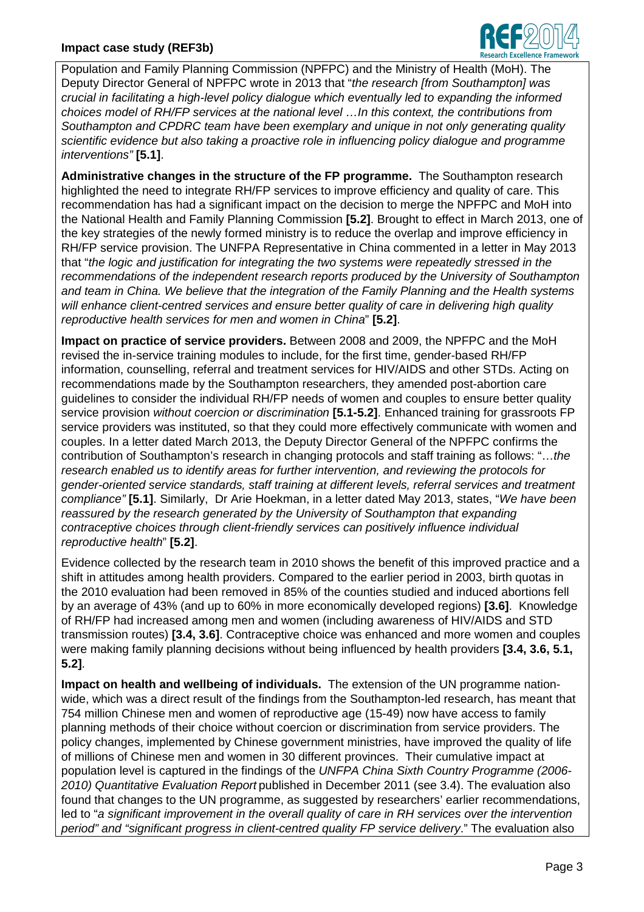### **Impact case study (REF3b)**



Population and Family Planning Commission (NPFPC) and the Ministry of Health (MoH). The Deputy Director General of NPFPC wrote in 2013 that "the research [from Southampton] was crucial in facilitating a high-level policy dialogue which eventually led to expanding the informed choices model of RH/FP services at the national level …In this context, the contributions from Southampton and CPDRC team have been exemplary and unique in not only generating quality scientific evidence but also taking a proactive role in influencing policy dialogue and programme interventions" **[5.1]**.

**Administrative changes in the structure of the FP programme.** The Southampton research highlighted the need to integrate RH/FP services to improve efficiency and quality of care. This recommendation has had a significant impact on the decision to merge the NPFPC and MoH into the National Health and Family Planning Commission **[5.2]**. Brought to effect in March 2013, one of the key strategies of the newly formed ministry is to reduce the overlap and improve efficiency in RH/FP service provision. The UNFPA Representative in China commented in a letter in May 2013 that "the logic and justification for integrating the two systems were repeatedly stressed in the recommendations of the independent research reports produced by the University of Southampton and team in China. We believe that the integration of the Family Planning and the Health systems will enhance client-centred services and ensure better quality of care in delivering high quality reproductive health services for men and women in China" **[5.2]**.

**Impact on practice of service providers.** Between 2008 and 2009, the NPFPC and the MoH revised the in-service training modules to include, for the first time, gender-based RH/FP information, counselling, referral and treatment services for HIV/AIDS and other STDs. Acting on recommendations made by the Southampton researchers, they amended post-abortion care guidelines to consider the individual RH/FP needs of women and couples to ensure better quality service provision without coercion or discrimination **[5.1-5.2]**. Enhanced training for grassroots FP service providers was instituted, so that they could more effectively communicate with women and couples. In a letter dated March 2013, the Deputy Director General of the NPFPC confirms the contribution of Southampton's research in changing protocols and staff training as follows: "…the research enabled us to identify areas for further intervention, and reviewing the protocols for gender-oriented service standards, staff training at different levels, referral services and treatment compliance" **[5.1]**. Similarly, Dr Arie Hoekman, in a letter dated May 2013, states, "We have been reassured by the research generated by the University of Southampton that expanding contraceptive choices through client-friendly services can positively influence individual reproductive health" **[5.2]**.

Evidence collected by the research team in 2010 shows the benefit of this improved practice and a shift in attitudes among health providers. Compared to the earlier period in 2003, birth quotas in the 2010 evaluation had been removed in 85% of the counties studied and induced abortions fell by an average of 43% (and up to 60% in more economically developed regions) **[3.6]**. Knowledge of RH/FP had increased among men and women (including awareness of HIV/AIDS and STD transmission routes) **[3.4, 3.6]**. Contraceptive choice was enhanced and more women and couples were making family planning decisions without being influenced by health providers **[3.4, 3.6, 5.1, 5.2]**.

**Impact on health and wellbeing of individuals.** The extension of the UN programme nationwide, which was a direct result of the findings from the Southampton-led research, has meant that 754 million Chinese men and women of reproductive age (15-49) now have access to family planning methods of their choice without coercion or discrimination from service providers. The policy changes, implemented by Chinese government ministries, have improved the quality of life of millions of Chinese men and women in 30 different provinces. Their cumulative impact at population level is captured in the findings of the UNFPA China Sixth Country Programme (2006- 2010) Quantitative Evaluation Report published in December 2011 (see 3.4). The evaluation also found that changes to the UN programme, as suggested by researchers' earlier recommendations, led to "a significant improvement in the overall quality of care in RH services over the intervention period" and "significant progress in client-centred quality FP service delivery." The evaluation also